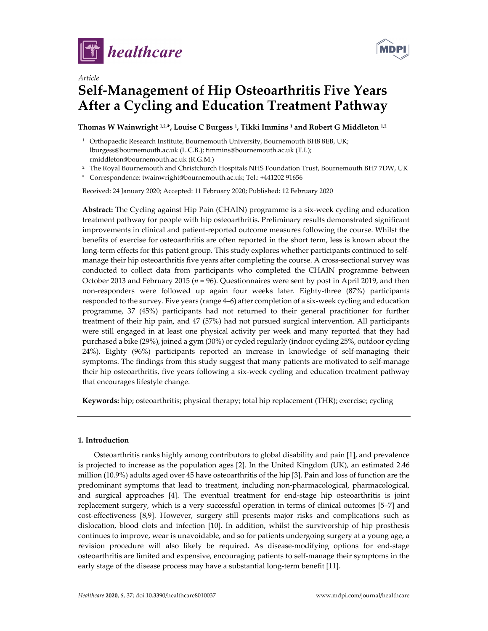



# *Article*  **Self-Management of Hip Osteoarthritis Five Years After a Cycling and Education Treatment Pathway**

## **Thomas W Wainwright 1,2,\*, Louise C Burgess 1, Tikki Immins 1 and Robert G Middleton 1,2**

- <sup>1</sup> Orthopaedic Research Institute, Bournemouth University, Bournemouth BH8 8EB, UK; lburgess@bournemouth.ac.uk (L.C.B.); timmins@bournemouth.ac.uk (T.I.); rmiddleton@bournemouth.ac.uk (R.G.M.)
- <sup>2</sup> The Royal Bournemouth and Christchurch Hospitals NHS Foundation Trust, Bournemouth BH7 7DW, UK
- \* Correspondence: twainwright@bournemouth.ac.uk; Tel.: +441202 91656

Received: 24 January 2020; Accepted: 11 February 2020; Published: 12 February 2020

**Abstract:** The Cycling against Hip Pain (CHAIN) programme is a six-week cycling and education treatment pathway for people with hip osteoarthritis. Preliminary results demonstrated significant improvements in clinical and patient-reported outcome measures following the course. Whilst the benefits of exercise for osteoarthritis are often reported in the short term, less is known about the long-term effects for this patient group. This study explores whether participants continued to selfmanage their hip osteoarthritis five years after completing the course. A cross-sectional survey was conducted to collect data from participants who completed the CHAIN programme between October 2013 and February 2015 ( $n = 96$ ). Questionnaires were sent by post in April 2019, and then non-responders were followed up again four weeks later. Eighty-three (87%) participants responded to the survey. Five years (range 4–6) after completion of a six-week cycling and education programme, 37 (45%) participants had not returned to their general practitioner for further treatment of their hip pain, and 47 (57%) had not pursued surgical intervention. All participants were still engaged in at least one physical activity per week and many reported that they had purchased a bike (29%), joined a gym (30%) or cycled regularly (indoor cycling 25%, outdoor cycling 24%). Eighty (96%) participants reported an increase in knowledge of self-managing their symptoms. The findings from this study suggest that many patients are motivated to self-manage their hip osteoarthritis, five years following a six-week cycling and education treatment pathway that encourages lifestyle change.

**Keywords:** hip; osteoarthritis; physical therapy; total hip replacement (THR); exercise; cycling

## **1. Introduction**

Osteoarthritis ranks highly among contributors to global disability and pain [1], and prevalence is projected to increase as the population ages [2]. In the United Kingdom (UK), an estimated 2.46 million (10.9%) adults aged over 45 have osteoarthritis of the hip [3]. Pain and loss of function are the predominant symptoms that lead to treatment, including non-pharmacological, pharmacological, and surgical approaches [4]. The eventual treatment for end-stage hip osteoarthritis is joint replacement surgery, which is a very successful operation in terms of clinical outcomes [5–7] and cost-effectiveness [8,9]. However, surgery still presents major risks and complications such as dislocation, blood clots and infection [10]. In addition, whilst the survivorship of hip prosthesis continues to improve, wear is unavoidable, and so for patients undergoing surgery at a young age, a revision procedure will also likely be required. As disease-modifying options for end-stage osteoarthritis are limited and expensive, encouraging patients to self-manage their symptoms in the early stage of the disease process may have a substantial long-term benefit [11].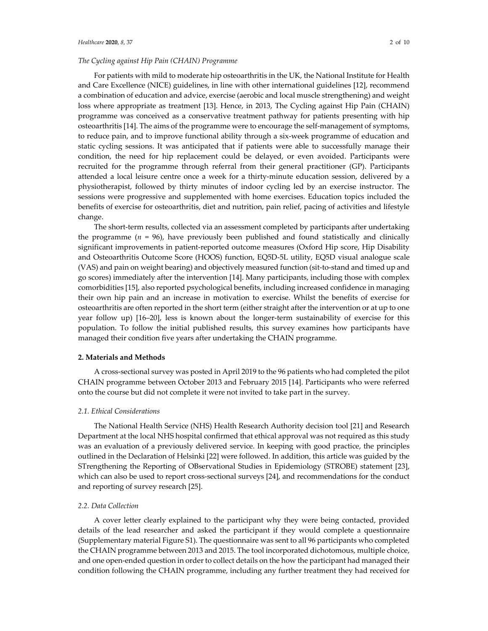For patients with mild to moderate hip osteoarthritis in the UK, the National Institute for Health and Care Excellence (NICE) guidelines, in line with other international guidelines [12], recommend a combination of education and advice, exercise (aerobic and local muscle strengthening) and weight loss where appropriate as treatment [13]. Hence, in 2013, The Cycling against Hip Pain (CHAIN) programme was conceived as a conservative treatment pathway for patients presenting with hip osteoarthritis [14]. The aims of the programme were to encourage the self-management of symptoms, to reduce pain, and to improve functional ability through a six-week programme of education and static cycling sessions. It was anticipated that if patients were able to successfully manage their condition, the need for hip replacement could be delayed, or even avoided. Participants were recruited for the programme through referral from their general practitioner (GP). Participants attended a local leisure centre once a week for a thirty-minute education session, delivered by a physiotherapist, followed by thirty minutes of indoor cycling led by an exercise instructor. The sessions were progressive and supplemented with home exercises. Education topics included the benefits of exercise for osteoarthritis, diet and nutrition, pain relief, pacing of activities and lifestyle change.

The short-term results, collected via an assessment completed by participants after undertaking the programme  $(n = 96)$ , have previously been published and found statistically and clinically significant improvements in patient-reported outcome measures (Oxford Hip score, Hip Disability and Osteoarthritis Outcome Score (HOOS) function, EQ5D-5L utility, EQ5D visual analogue scale (VAS) and pain on weight bearing) and objectively measured function (sit-to-stand and timed up and go scores) immediately after the intervention [14]. Many participants, including those with complex comorbidities [15], also reported psychological benefits, including increased confidence in managing their own hip pain and an increase in motivation to exercise. Whilst the benefits of exercise for osteoarthritis are often reported in the short term (either straight after the intervention or at up to one year follow up) [16–20], less is known about the longer-term sustainability of exercise for this population. To follow the initial published results, this survey examines how participants have managed their condition five years after undertaking the CHAIN programme.

#### **2. Materials and Methods**

A cross-sectional survey was posted in April 2019 to the 96 patients who had completed the pilot CHAIN programme between October 2013 and February 2015 [14]. Participants who were referred onto the course but did not complete it were not invited to take part in the survey.

## *2.1. Ethical Considerations*

The National Health Service (NHS) Health Research Authority decision tool [21] and Research Department at the local NHS hospital confirmed that ethical approval was not required as this study was an evaluation of a previously delivered service. In keeping with good practice, the principles outlined in the Declaration of Helsinki [22] were followed. In addition, this article was guided by the STrengthening the Reporting of OBservational Studies in Epidemiology (STROBE) statement [23], which can also be used to report cross-sectional surveys [24], and recommendations for the conduct and reporting of survey research [25].

## *2.2. Data Collection*

A cover letter clearly explained to the participant why they were being contacted, provided details of the lead researcher and asked the participant if they would complete a questionnaire (Supplementary material Figure S1). The questionnaire was sent to all 96 participants who completed the CHAIN programme between 2013 and 2015. The tool incorporated dichotomous, multiple choice, and one open-ended question in order to collect details on the how the participant had managed their condition following the CHAIN programme, including any further treatment they had received for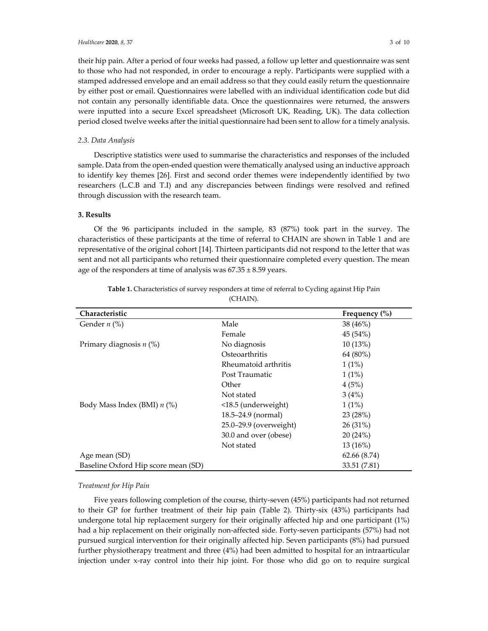their hip pain. After a period of four weeks had passed, a follow up letter and questionnaire was sent to those who had not responded, in order to encourage a reply. Participants were supplied with a stamped addressed envelope and an email address so that they could easily return the questionnaire by either post or email. Questionnaires were labelled with an individual identification code but did not contain any personally identifiable data. Once the questionnaires were returned, the answers were inputted into a secure Excel spreadsheet (Microsoft UK, Reading, UK). The data collection period closed twelve weeks after the initial questionnaire had been sent to allow for a timely analysis.

## *2.3. Data Analysis*

Descriptive statistics were used to summarise the characteristics and responses of the included sample. Data from the open-ended question were thematically analysed using an inductive approach to identify key themes [26]. First and second order themes were independently identified by two researchers (L.C.B and T.I) and any discrepancies between findings were resolved and refined through discussion with the research team.

## **3. Results**

Of the 96 participants included in the sample, 83 (87%) took part in the survey. The characteristics of these participants at the time of referral to CHAIN are shown in Table 1 and are representative of the original cohort [14]. Thirteen participants did not respond to the letter that was sent and not all participants who returned their questionnaire completed every question. The mean age of the responders at time of analysis was  $67.35 \pm 8.59$  years.

| Characteristic                      |                           | Frequency $(\% )$ |
|-------------------------------------|---------------------------|-------------------|
| Gender $n$ (%)                      | Male                      | 38 (46%)          |
|                                     | Female                    | 45(54%)           |
| Primary diagnosis $n$ (%)           | No diagnosis              | 10(13%)           |
|                                     | Osteoarthritis            | 64 (80%)          |
|                                     | Rheumatoid arthritis      | $1(1\%)$          |
|                                     | Post Traumatic            | $1(1\%)$          |
|                                     | Other                     | 4(5%)             |
|                                     | Not stated                | 3(4%)             |
| Body Mass Index (BMI) $n$ (%)       | $\leq$ 18.5 (underweight) | $1(1\%)$          |
|                                     | 18.5–24.9 (normal)        | 23(28%)           |
|                                     | 25.0–29.9 (overweight)    | 26(31%)           |
|                                     | 30.0 and over (obese)     | 20(24%)           |
|                                     | Not stated                | 13(16%)           |
| Age mean (SD)                       |                           | 62.66(8.74)       |
| Baseline Oxford Hip score mean (SD) |                           | 33.51 (7.81)      |

**Table 1.** Characteristics of survey responders at time of referral to Cycling against Hip Pain (CHAIN).

## *Treatment for Hip Pain*

Five years following completion of the course, thirty-seven (45%) participants had not returned to their GP for further treatment of their hip pain (Table 2). Thirty-six (43%) participants had undergone total hip replacement surgery for their originally affected hip and one participant (1%) had a hip replacement on their originally non-affected side. Forty-seven participants (57%) had not pursued surgical intervention for their originally affected hip. Seven participants (8%) had pursued further physiotherapy treatment and three (4%) had been admitted to hospital for an intraarticular injection under x-ray control into their hip joint. For those who did go on to require surgical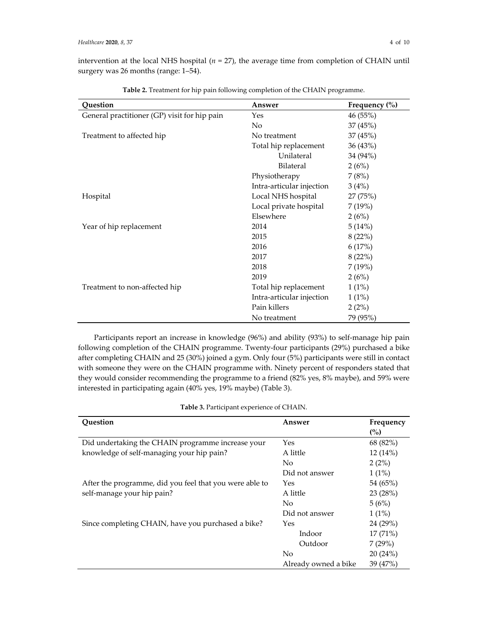intervention at the local NHS hospital (*n* = 27), the average time from completion of CHAIN until surgery was 26 months (range: 1–54).

| Question                                     | Answer                    | Frequency $(\% )$ |
|----------------------------------------------|---------------------------|-------------------|
| General practitioner (GP) visit for hip pain | Yes                       | 46(55%)           |
|                                              | N <sub>0</sub>            | 37 (45%)          |
| Treatment to affected hip                    | No treatment              | 37 (45%)          |
|                                              | Total hip replacement     | 36 (43%)          |
|                                              | Unilateral                | 34 (94%)          |
|                                              | Bilateral                 | 2(6%)             |
|                                              | Physiotherapy             | 7(8%)             |
|                                              | Intra-articular injection | 3(4%)             |
| Hospital                                     | Local NHS hospital        | 27 (75%)          |
|                                              | Local private hospital    | 7(19%)            |
|                                              | Elsewhere                 | 2(6%)             |
| Year of hip replacement                      | 2014                      | 5(14%)            |
|                                              | 2015                      | 8(22%)            |
|                                              | 2016                      | 6(17%)            |
|                                              | 2017                      | 8(22%)            |
|                                              | 2018                      | 7 (19%)           |
|                                              | 2019                      | 2(6%)             |
| Treatment to non-affected hip                | Total hip replacement     | $1(1\%)$          |
|                                              | Intra-articular injection | $1(1\%)$          |
|                                              | Pain killers              | 2(2%)             |
|                                              | No treatment              | 79 (95%)          |

**Table 2.** Treatment for hip pain following completion of the CHAIN programme.

Participants report an increase in knowledge (96%) and ability (93%) to self-manage hip pain following completion of the CHAIN programme. Twenty-four participants (29%) purchased a bike after completing CHAIN and 25 (30%) joined a gym. Only four (5%) participants were still in contact with someone they were on the CHAIN programme with. Ninety percent of responders stated that they would consider recommending the programme to a friend (82% yes, 8% maybe), and 59% were interested in participating again (40% yes, 19% maybe) (Table 3).

| <b>Question</b>                                         | Answer               | Frequency<br>(%) |
|---------------------------------------------------------|----------------------|------------------|
| Did undertaking the CHAIN programme increase your       | Yes                  | 68 (82%)         |
| knowledge of self-managing your hip pain?               | A little             | 12(14%)          |
|                                                         | N <sub>0</sub>       | 2(2%)            |
|                                                         | Did not answer       | $1(1\%)$         |
| After the programme, did you feel that you were able to | Yes                  | 54 (65%)         |
| self-manage your hip pain?                              | A little             | 23 (28%)         |
|                                                         | No                   | 5(6%)            |
|                                                         | Did not answer       | $1(1\%)$         |
| Since completing CHAIN, have you purchased a bike?      | Yes                  | 24 (29%)         |
|                                                         | Indoor               | 17(71%)          |
|                                                         | Outdoor              | 7(29%)           |
|                                                         | N <sub>o</sub>       | 20(24%)          |
|                                                         | Already owned a bike | 39 (47%)         |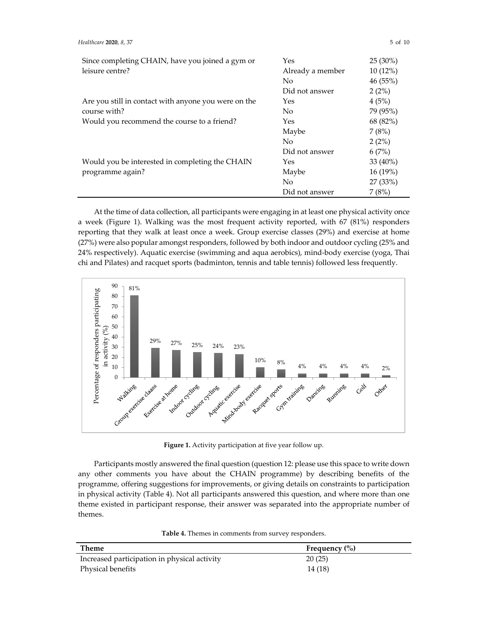| Since completing CHAIN, have you joined a gym or     | Yes              | $25(30\%)$  |
|------------------------------------------------------|------------------|-------------|
| leisure centre?                                      | Already a member | $10(12\%)$  |
|                                                      | No.              | 46(55%)     |
|                                                      | Did not answer   | 2(2%)       |
| Are you still in contact with anyone you were on the | Yes              | 4(5%)       |
| course with?                                         | No.              | 79 (95%)    |
| Would you recommend the course to a friend?          | Yes              | 68 (82%)    |
|                                                      | Maybe            | 7(8%)       |
|                                                      | No.              | 2(2%)       |
|                                                      | Did not answer   | 6(7%)       |
| Would you be interested in completing the CHAIN      | Yes              | 33 $(40\%)$ |
| programme again?                                     | Maybe            | 16(19%)     |
|                                                      | N <sub>o</sub>   | 27 (33%)    |
|                                                      | Did not answer   | 7(8%)       |

At the time of data collection, all participants were engaging in at least one physical activity once a week (Figure 1). Walking was the most frequent activity reported, with 67 (81%) responders reporting that they walk at least once a week. Group exercise classes (29%) and exercise at home (27%) were also popular amongst responders, followed by both indoor and outdoor cycling (25% and 24% respectively). Aquatic exercise (swimming and aqua aerobics), mind-body exercise (yoga, Thai chi and Pilates) and racquet sports (badminton, tennis and table tennis) followed less frequently.



**Figure 1.** Activity participation at five year follow up.

Participants mostly answered the final question (question 12: please use this space to write down any other comments you have about the CHAIN programme) by describing benefits of the programme, offering suggestions for improvements, or giving details on constraints to participation in physical activity (Table 4). Not all participants answered this question, and where more than one theme existed in participant response, their answer was separated into the appropriate number of themes.

**Table 4.** Themes in comments from survey responders.

| Theme                                        | Frequency $(\% )$ |
|----------------------------------------------|-------------------|
| Increased participation in physical activity | 20(25)            |
| Physical benefits                            | 14 (18)           |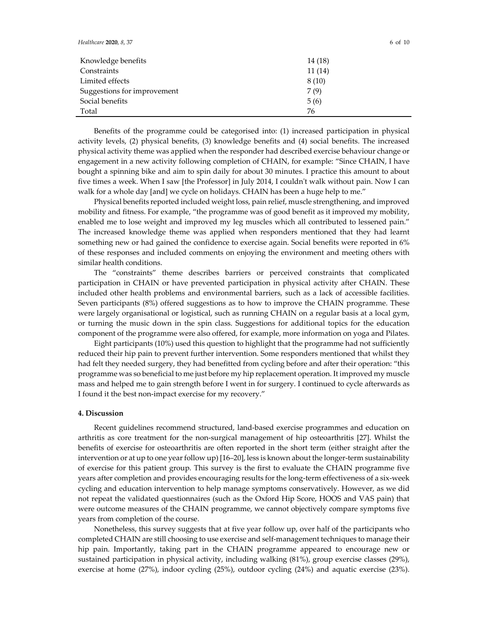#### *Healthcare* **2020**, *8*, 37 6 of 10

| Knowledge benefits          | 14 (18) |
|-----------------------------|---------|
| Constraints                 | 11(14)  |
| Limited effects             | 8(10)   |
| Suggestions for improvement | 7(9)    |
| Social benefits             | 5(6)    |
| Total                       | 76      |

Benefits of the programme could be categorised into: (1) increased participation in physical activity levels, (2) physical benefits, (3) knowledge benefits and (4) social benefits. The increased physical activity theme was applied when the responder had described exercise behaviour change or engagement in a new activity following completion of CHAIN, for example: "Since CHAIN, I have bought a spinning bike and aim to spin daily for about 30 minutes. I practice this amount to about five times a week. When I saw [the Professor] in July 2014, I couldn't walk without pain. Now I can walk for a whole day [and] we cycle on holidays. CHAIN has been a huge help to me."

Physical benefits reported included weight loss, pain relief, muscle strengthening, and improved mobility and fitness. For example, "the programme was of good benefit as it improved my mobility, enabled me to lose weight and improved my leg muscles which all contributed to lessened pain." The increased knowledge theme was applied when responders mentioned that they had learnt something new or had gained the confidence to exercise again. Social benefits were reported in 6% of these responses and included comments on enjoying the environment and meeting others with similar health conditions.

The "constraints" theme describes barriers or perceived constraints that complicated participation in CHAIN or have prevented participation in physical activity after CHAIN. These included other health problems and environmental barriers, such as a lack of accessible facilities. Seven participants (8%) offered suggestions as to how to improve the CHAIN programme. These were largely organisational or logistical, such as running CHAIN on a regular basis at a local gym, or turning the music down in the spin class. Suggestions for additional topics for the education component of the programme were also offered, for example, more information on yoga and Pilates.

Eight participants (10%) used this question to highlight that the programme had not sufficiently reduced their hip pain to prevent further intervention. Some responders mentioned that whilst they had felt they needed surgery, they had benefitted from cycling before and after their operation: "this programme was so beneficial to me just before my hip replacement operation. It improved my muscle mass and helped me to gain strength before I went in for surgery. I continued to cycle afterwards as I found it the best non-impact exercise for my recovery."

## **4. Discussion**

Recent guidelines recommend structured, land-based exercise programmes and education on arthritis as core treatment for the non-surgical management of hip osteoarthritis [27]. Whilst the benefits of exercise for osteoarthritis are often reported in the short term (either straight after the intervention or at up to one year follow up) [16–20], less is known about the longer-term sustainability of exercise for this patient group. This survey is the first to evaluate the CHAIN programme five years after completion and provides encouraging results for the long-term effectiveness of a six-week cycling and education intervention to help manage symptoms conservatively. However, as we did not repeat the validated questionnaires (such as the Oxford Hip Score, HOOS and VAS pain) that were outcome measures of the CHAIN programme, we cannot objectively compare symptoms five years from completion of the course.

Nonetheless, this survey suggests that at five year follow up, over half of the participants who completed CHAIN are still choosing to use exercise and self-management techniques to manage their hip pain. Importantly, taking part in the CHAIN programme appeared to encourage new or sustained participation in physical activity, including walking (81%), group exercise classes (29%), exercise at home (27%), indoor cycling (25%), outdoor cycling (24%) and aquatic exercise (23%).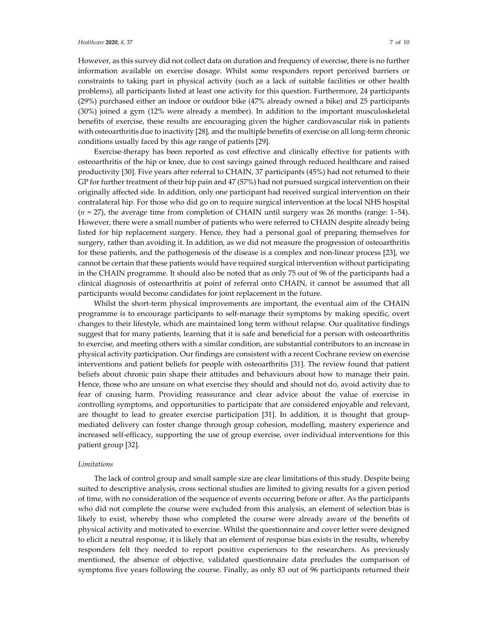However, as this survey did not collect data on duration and frequency of exercise, there is no further information available on exercise dosage. Whilst some responders report perceived barriers or constraints to taking part in physical activity (such as a lack of suitable facilities or other health problems), all participants listed at least one activity for this question. Furthermore, 24 participants (29%) purchased either an indoor or outdoor bike (47% already owned a bike) and 25 participants (30%) joined a gym (12% were already a member). In addition to the important musculoskeletal benefits of exercise, these results are encouraging given the higher cardiovascular risk in patients with osteoarthritis due to inactivity [28], and the multiple benefits of exercise on all long-term chronic conditions usually faced by this age range of patients [29].

Exercise-therapy has been reported as cost effective and clinically effective for patients with osteoarthritis of the hip or knee, due to cost savings gained through reduced healthcare and raised productivity [30]. Five years after referral to CHAIN, 37 participants (45%) had not returned to their GP for further treatment of their hip pain and 47 (57%) had not pursued surgical intervention on their originally affected side. In addition, only one participant had received surgical intervention on their contralateral hip. For those who did go on to require surgical intervention at the local NHS hospital (*n* = 27), the average time from completion of CHAIN until surgery was 26 months (range: 1–54). However, there were a small number of patients who were referred to CHAIN despite already being listed for hip replacement surgery. Hence, they had a personal goal of preparing themselves for surgery, rather than avoiding it. In addition, as we did not measure the progression of osteoarthritis for these patients, and the pathogenesis of the disease is a complex and non-linear process [23], we cannot be certain that these patients would have required surgical intervention without participating in the CHAIN programme. It should also be noted that as only 75 out of 96 of the participants had a clinical diagnosis of osteoarthritis at point of referral onto CHAIN, it cannot be assumed that all participants would become candidates for joint replacement in the future.

Whilst the short-term physical improvements are important, the eventual aim of the CHAIN programme is to encourage participants to self-manage their symptoms by making specific, overt changes to their lifestyle, which are maintained long term without relapse. Our qualitative findings suggest that for many patients, learning that it is safe and beneficial for a person with osteoarthritis to exercise, and meeting others with a similar condition, are substantial contributors to an increase in physical activity participation. Our findings are consistent with a recent Cochrane review on exercise interventions and patient beliefs for people with osteoarthritis [31]. The review found that patient beliefs about chronic pain shape their attitudes and behaviours about how to manage their pain. Hence, those who are unsure on what exercise they should and should not do, avoid activity due to fear of causing harm. Providing reassurance and clear advice about the value of exercise in controlling symptoms, and opportunities to participate that are considered enjoyable and relevant, are thought to lead to greater exercise participation [31]. In addition, it is thought that groupmediated delivery can foster change through group cohesion, modelling, mastery experience and increased self-efficacy, supporting the use of group exercise, over individual interventions for this patient group [32].

## *Limitations*

The lack of control group and small sample size are clear limitations of this study. Despite being suited to descriptive analysis, cross sectional studies are limited to giving results for a given period of time, with no consideration of the sequence of events occurring before or after. As the participants who did not complete the course were excluded from this analysis, an element of selection bias is likely to exist, whereby those who completed the course were already aware of the benefits of physical activity and motivated to exercise. Whilst the questionnaire and cover letter were designed to elicit a neutral response, it is likely that an element of response bias exists in the results, whereby responders felt they needed to report positive experiences to the researchers. As previously mentioned, the absence of objective, validated questionnaire data precludes the comparison of symptoms five years following the course. Finally, as only 83 out of 96 participants returned their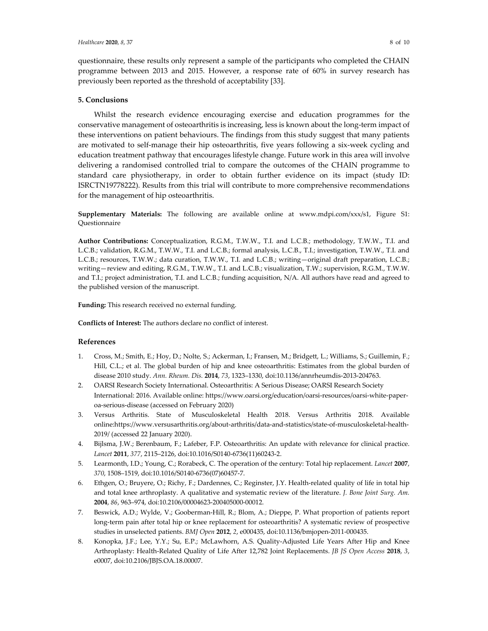questionnaire, these results only represent a sample of the participants who completed the CHAIN programme between 2013 and 2015. However, a response rate of 60% in survey research has previously been reported as the threshold of acceptability [33].

## **5. Conclusions**

Whilst the research evidence encouraging exercise and education programmes for the conservative management of osteoarthritis is increasing, less is known about the long-term impact of these interventions on patient behaviours. The findings from this study suggest that many patients are motivated to self-manage their hip osteoarthritis, five years following a six-week cycling and education treatment pathway that encourages lifestyle change. Future work in this area will involve delivering a randomised controlled trial to compare the outcomes of the CHAIN programme to standard care physiotherapy, in order to obtain further evidence on its impact (study ID: ISRCTN19778222). Results from this trial will contribute to more comprehensive recommendations for the management of hip osteoarthritis.

**Supplementary Materials:** The following are available online at www.mdpi.com/xxx/s1, Figure S1: Questionnaire

**Author Contributions:** Conceptualization, R.G.M., T.W.W., T.I. and L.C.B.; methodology, T.W.W., T.I. and L.C.B.; validation, R.G.M., T.W.W., T.I. and L.C.B.; formal analysis, L.C.B., T.I.; investigation, T.W.W., T.I. and L.C.B.; resources, T.W.W.; data curation, T.W.W., T.I. and L.C.B.; writing—original draft preparation, L.C.B.; writing—review and editing, R.G.M., T.W.W., T.I. and L.C.B.; visualization, T.W.; supervision, R.G.M., T.W.W. and T.I.; project administration, T.I. and L.C.B.; funding acquisition, N/A. All authors have read and agreed to the published version of the manuscript.

**Funding:** This research received no external funding.

**Conflicts of Interest:** The authors declare no conflict of interest.

## **References**

- 1. Cross, M.; Smith, E.; Hoy, D.; Nolte, S.; Ackerman, I.; Fransen, M.; Bridgett, L.; Williams, S.; Guillemin, F.; Hill, C.L.; et al. The global burden of hip and knee osteoarthritis: Estimates from the global burden of disease 2010 study. *Ann. Rheum. Dis.* **2014**, *73*, 1323–1330, doi:10.1136/annrheumdis-2013-204763.
- 2. OARSI Research Society International. Osteoarthritis: A Serious Disease; OARSI Research Society International: 2016. Available online: https://www.oarsi.org/education/oarsi-resources/oarsi-white-paperoa-serious-disease (accessed on February 2020)
- 3. Versus Arthritis. State of Musculoskeletal Health 2018. Versus Arthritis 2018. Available online:https://www.versusarthritis.org/about-arthritis/data-and-statistics/state-of-musculoskeletal-health-2019/ (accessed 22 January 2020).
- 4. Bijlsma, J.W.; Berenbaum, F.; Lafeber, F.P. Osteoarthritis: An update with relevance for clinical practice. *Lancet* **2011**, *377*, 2115–2126, doi:10.1016/S0140-6736(11)60243-2.
- 5. Learmonth, I.D.; Young, C.; Rorabeck, C. The operation of the century: Total hip replacement. *Lancet* **2007**, *370*, 1508–1519, doi:10.1016/S0140-6736(07)60457-7.
- 6. Ethgen, O.; Bruyere, O.; Richy, F.; Dardennes, C.; Reginster, J.Y. Health-related quality of life in total hip and total knee arthroplasty. A qualitative and systematic review of the literature. *J. Bone Joint Surg. Am.*  **2004**, *86*, 963–974, doi:10.2106/00004623-200405000-00012.
- 7. Beswick, A.D.; Wylde, V.; Gooberman-Hill, R.; Blom, A.; Dieppe, P. What proportion of patients report long-term pain after total hip or knee replacement for osteoarthritis? A systematic review of prospective studies in unselected patients. *BMJ Open* **2012**, *2*, e000435, doi:10.1136/bmjopen-2011-000435.
- 8. Konopka, J.F.; Lee, Y.Y.; Su, E.P.; McLawhorn, A.S. Quality-Adjusted Life Years After Hip and Knee Arthroplasty: Health-Related Quality of Life After 12,782 Joint Replacements. *JB JS Open Access* **2018**, *3*, e0007, doi:10.2106/JBJS.OA.18.00007.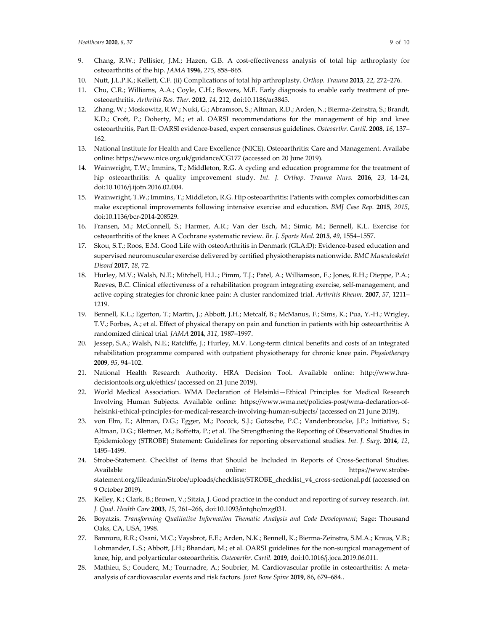- 9. Chang, R.W.; Pellisier, J.M.; Hazen, G.B. A cost-effectiveness analysis of total hip arthroplasty for osteoarthritis of the hip. *JAMA* **1996**, *275*, 858–865.
- 10. Nutt, J.L.P.K.; Kellett, C.F. (ii) Complications of total hip arthroplasty. *Orthop. Trauma* **2013**, *22*, 272–276.
- 11. Chu, C.R.; Williams, A.A.; Coyle, C.H.; Bowers, M.E. Early diagnosis to enable early treatment of preosteoarthritis. *Arthritis Res. Ther.* **2012**, *14*, 212, doi:10.1186/ar3845.
- 12. Zhang, W.; Moskowitz, R.W.; Nuki, G.; Abramson, S.; Altman, R.D.; Arden, N.; Bierma-Zeinstra, S.; Brandt, K.D.; Croft, P.; Doherty, M.; et al. OARSI recommendations for the management of hip and knee osteoarthritis, Part II: OARSI evidence-based, expert consensus guidelines. *Osteoarthr. Cartil.* **2008**, *16*, 137– 162.
- 13. National Institute for Health and Care Excellence (NICE). Osteoarthritis: Care and Management. Availabe online: https://www.nice.org.uk/guidance/CG177 (accessed on 20 June 2019).
- 14. Wainwright, T.W.; Immins, T.; Middleton, R.G. A cycling and education programme for the treatment of hip osteoarthritis: A quality improvement study. *Int. J. Orthop. Trauma Nurs.* **2016**, *23*, 14–24, doi:10.1016/j.ijotn.2016.02.004.
- 15. Wainwright, T.W.; Immins, T.; Middleton, R.G. Hip osteoarthritis: Patients with complex comorbidities can make exceptional improvements following intensive exercise and education. *BMJ Case Rep.* **2015**, *2015*, doi:10.1136/bcr-2014-208529.
- 16. Fransen, M.; McConnell, S.; Harmer, A.R.; Van der Esch, M.; Simic, M.; Bennell, K.L. Exercise for osteoarthritis of the knee: A Cochrane systematic review. *Br. J. Sports Med.* **2015**, *49*, 1554–1557.
- 17. Skou, S.T.; Roos, E.M. Good Life with osteoArthritis in Denmark (GLA:D): Evidence-based education and supervised neuromuscular exercise delivered by certified physiotherapists nationwide. *BMC Musculoskelet Disord* **2017**, *18*, 72.
- 18. Hurley, M.V.; Walsh, N.E.; Mitchell, H.L.; Pimm, T.J.; Patel, A.; Williamson, E.; Jones, R.H.; Dieppe, P.A.; Reeves, B.C. Clinical effectiveness of a rehabilitation program integrating exercise, self-management, and active coping strategies for chronic knee pain: A cluster randomized trial. *Arthritis Rheum.* **2007**, *57*, 1211– 1219.
- 19. Bennell, K.L.; Egerton, T.; Martin, J.; Abbott, J.H.; Metcalf, B.; McManus, F.; Sims, K.; Pua, Y.-H.; Wrigley, T.V.; Forbes, A.; et al. Effect of physical therapy on pain and function in patients with hip osteoarthritis: A randomized clinical trial. *JAMA* **2014**, *311*, 1987–1997.
- 20. Jessep, S.A.; Walsh, N.E.; Ratcliffe, J.; Hurley, M.V. Long-term clinical benefits and costs of an integrated rehabilitation programme compared with outpatient physiotherapy for chronic knee pain. *Physiotherapy*  **2009**, *95*, 94–102.
- 21. National Health Research Authority. HRA Decision Tool. Available online: http://www.hradecisiontools.org.uk/ethics/ (accessed on 21 June 2019).
- 22. World Medical Association. WMA Declaration of Helsinki—Ethical Principles for Medical Research Involving Human Subjects. Available online: https://www.wma.net/policies-post/wma-declaration-ofhelsinki-ethical-principles-for-medical-research-involving-human-subjects/ (accessed on 21 June 2019).
- 23. von Elm, E.; Altman, D.G.; Egger, M.; Pocock, S.J.; Gotzsche, P.C.; Vandenbroucke, J.P.; Initiative, S.; Altman, D.G.; Blettner, M.; Boffetta, P.; et al. The Strengthening the Reporting of Observational Studies in Epidemiology (STROBE) Statement: Guidelines for reporting observational studies. *Int. J. Surg.* **2014**, *12*, 1495–1499.
- 24. Strobe-Statement. Checklist of Items that Should be Included in Reports of Cross-Sectional Studies. Available online: https://www.strobestatement.org/fileadmin/Strobe/uploads/checklists/STROBE\_checklist\_v4\_cross-sectional.pdf (accessed on 9 October 2019).
- 25. Kelley, K.; Clark, B.; Brown, V.; Sitzia, J. Good practice in the conduct and reporting of survey research. *Int. J. Qual. Health Care* **2003**, *15*, 261–266, doi:10.1093/intqhc/mzg031.
- 26. Boyatzis. *Transforming Qualitative Information Thematic Analysis and Code Development*; Sage: Thousand Oaks, CA, USA, 1998.
- 27. Bannuru, R.R.; Osani, M.C.; Vaysbrot, E.E.; Arden, N.K.; Bennell, K.; Bierma-Zeinstra, S.M.A.; Kraus, V.B.; Lohmander, L.S.; Abbott, J.H.; Bhandari, M.; et al. OARSI guidelines for the non-surgical management of knee, hip, and polyarticular osteoarthritis. *Osteoarthr. Cartil.* **2019**, doi:10.1016/j.joca.2019.06.011.
- 28. Mathieu, S.; Couderc, M.; Tournadre, A.; Soubrier, M. Cardiovascular profile in osteoarthritis: A metaanalysis of cardiovascular events and risk factors. *Joint Bone Spine* **2019**, 86, 679–684..